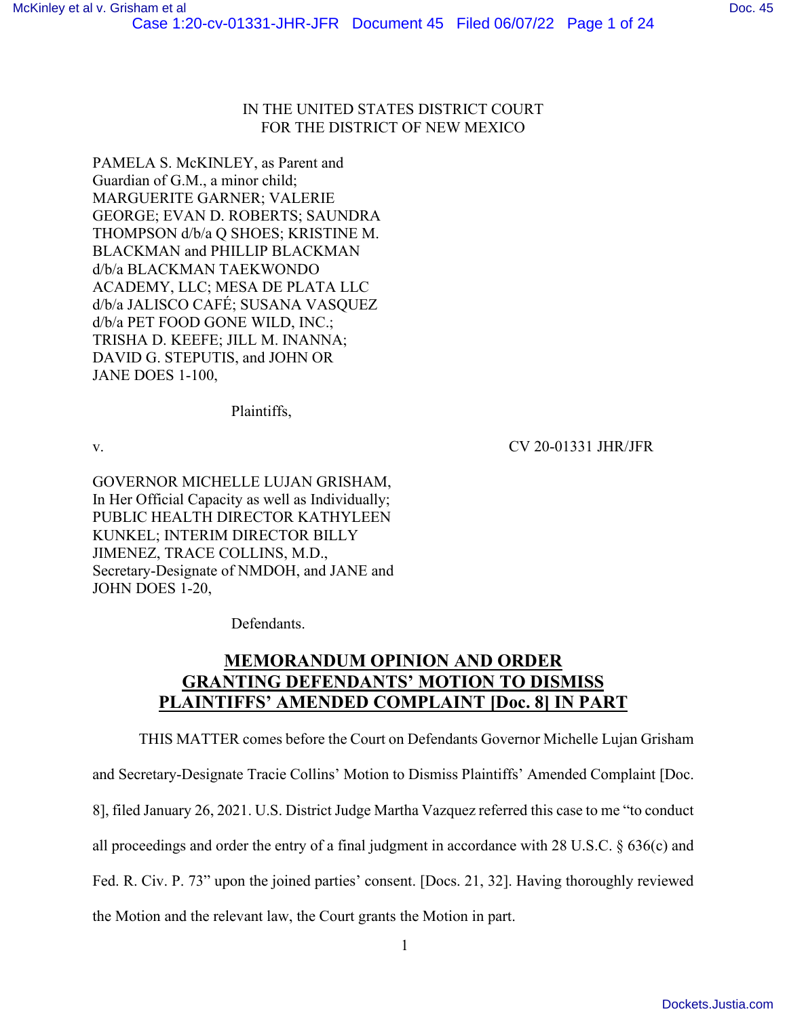# IN THE UNITED STATES DISTRICT COURT FOR THE DISTRICT OF NEW MEXICO

PAMELA S. McKINLEY, as Parent and Guardian of G.M., a minor child; MARGUERITE GARNER; VALERIE GEORGE; EVAN D. ROBERTS; SAUNDRA THOMPSON d/b/a Q SHOES; KRISTINE M. BLACKMAN and PHILLIP BLACKMAN d/b/a BLACKMAN TAEKWONDO ACADEMY, LLC; MESA DE PLATA LLC d/b/a JALISCO CAFÉ; SUSANA VASQUEZ d/b/a PET FOOD GONE WILD, INC.; TRISHA D. KEEFE; JILL M. INANNA; DAVID G. STEPUTIS, and JOHN OR JANE DOES 1-100,

Plaintiffs,

v. CV 20-01331 JHR/JFR

GOVERNOR MICHELLE LUJAN GRISHAM, In Her Official Capacity as well as Individually; PUBLIC HEALTH DIRECTOR KATHYLEEN KUNKEL; INTERIM DIRECTOR BILLY JIMENEZ, TRACE COLLINS, M.D., Secretary-Designate of NMDOH, and JANE and JOHN DOES 1-20,

Defendants.

# **MEMORANDUM OPINION AND ORDER GRANTING DEFENDANTS' MOTION TO DISMISS PLAINTIFFS' AMENDED COMPLAINT [Doc. 8] IN PART**

THIS MATTER comes before the Court on Defendants Governor Michelle Lujan Grisham and Secretary-Designate Tracie Collins' Motion to Dismiss Plaintiffs' Amended Complaint [Doc. 8], filed January 26, 2021. U.S. District Judge Martha Vazquez referred this case to me "to conduct all proceedings and order the entry of a final judgment in accordance with 28 U.S.C.  $\S 636(c)$  and Fed. R. Civ. P. 73" upon the joined parties' consent. [Docs. 21, 32]. Having thoroughly reviewed the Motion and the relevant law, the Court grants the Motion in part.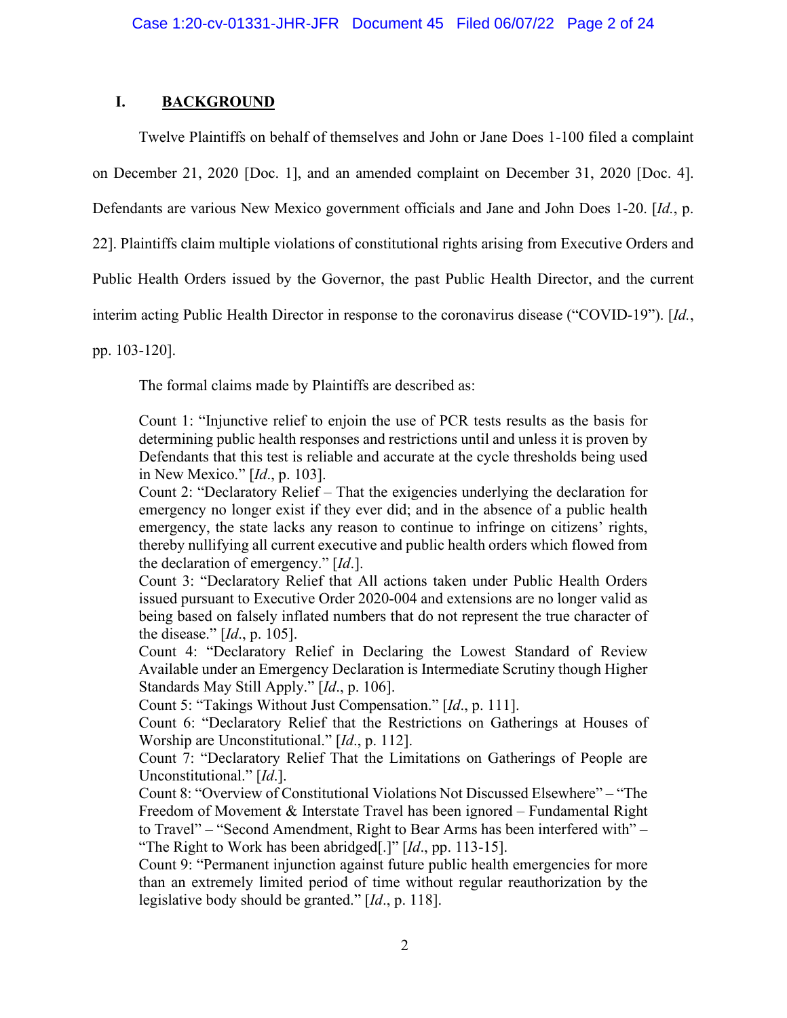# **I. BACKGROUND**

Twelve Plaintiffs on behalf of themselves and John or Jane Does 1-100 filed a complaint on December 21, 2020 [Doc. 1], and an amended complaint on December 31, 2020 [Doc. 4]. Defendants are various New Mexico government officials and Jane and John Does 1-20. [*Id.*, p.

22]. Plaintiffs claim multiple violations of constitutional rights arising from Executive Orders and

Public Health Orders issued by the Governor, the past Public Health Director, and the current

interim acting Public Health Director in response to the coronavirus disease ("COVID-19"). [*Id.*,

pp. 103-120].

The formal claims made by Plaintiffs are described as:

Count 1: "Injunctive relief to enjoin the use of PCR tests results as the basis for determining public health responses and restrictions until and unless it is proven by Defendants that this test is reliable and accurate at the cycle thresholds being used in New Mexico." [*Id*., p. 103].

Count 2: "Declaratory Relief – That the exigencies underlying the declaration for emergency no longer exist if they ever did; and in the absence of a public health emergency, the state lacks any reason to continue to infringe on citizens' rights, thereby nullifying all current executive and public health orders which flowed from the declaration of emergency." [*Id*.].

Count 3: "Declaratory Relief that All actions taken under Public Health Orders issued pursuant to Executive Order 2020-004 and extensions are no longer valid as being based on falsely inflated numbers that do not represent the true character of the disease." [*Id*., p. 105].

Count 4: "Declaratory Relief in Declaring the Lowest Standard of Review Available under an Emergency Declaration is Intermediate Scrutiny though Higher Standards May Still Apply." [*Id*., p. 106].

Count 5: "Takings Without Just Compensation." [*Id*., p. 111].

Count 6: "Declaratory Relief that the Restrictions on Gatherings at Houses of Worship are Unconstitutional." [*Id*., p. 112].

Count 7: "Declaratory Relief That the Limitations on Gatherings of People are Unconstitutional." [*Id*.].

Count 8: "Overview of Constitutional Violations Not Discussed Elsewhere" – "The Freedom of Movement & Interstate Travel has been ignored – Fundamental Right to Travel" – "Second Amendment, Right to Bear Arms has been interfered with" – "The Right to Work has been abridged[.]" [*Id*., pp. 113-15].

Count 9: "Permanent injunction against future public health emergencies for more than an extremely limited period of time without regular reauthorization by the legislative body should be granted." [*Id*., p. 118].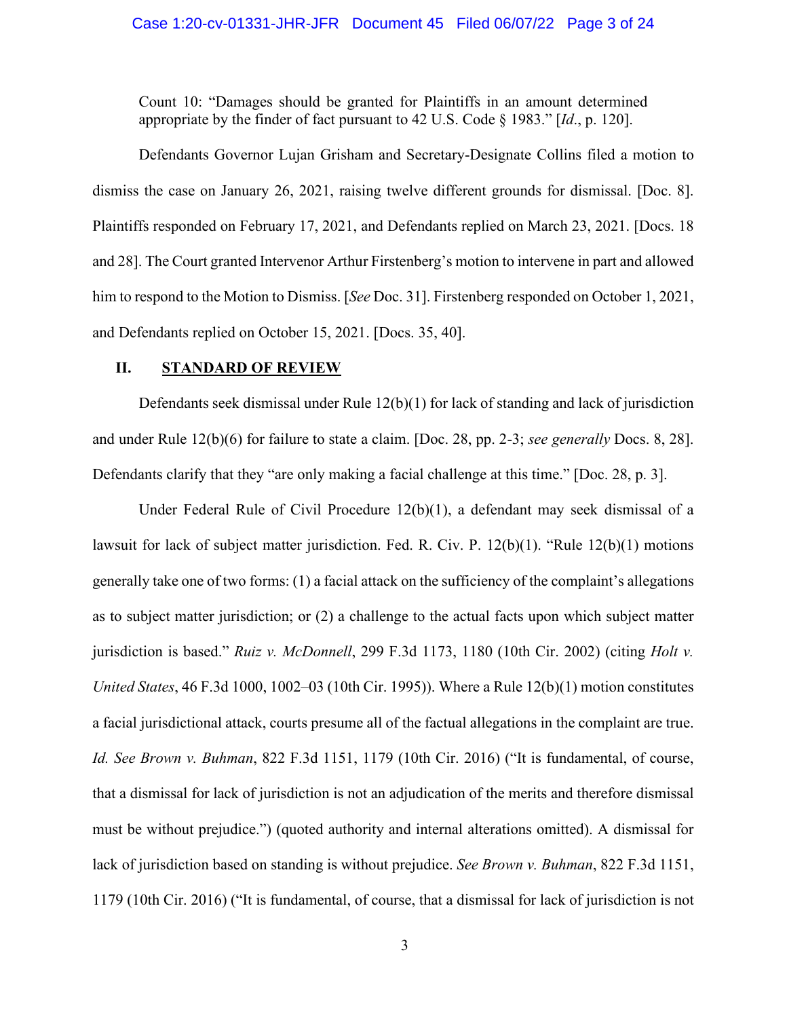### Case 1:20-cv-01331-JHR-JFR Document 45 Filed 06/07/22 Page 3 of 24

Count 10: "Damages should be granted for Plaintiffs in an amount determined appropriate by the finder of fact pursuant to 42 U.S. Code § 1983." [*Id*., p. 120].

Defendants Governor Lujan Grisham and Secretary-Designate Collins filed a motion to dismiss the case on January 26, 2021, raising twelve different grounds for dismissal. [Doc. 8]. Plaintiffs responded on February 17, 2021, and Defendants replied on March 23, 2021. [Docs. 18 and 28]. The Court granted Intervenor Arthur Firstenberg's motion to intervene in part and allowed him to respond to the Motion to Dismiss. [*See* Doc. 31]. Firstenberg responded on October 1, 2021, and Defendants replied on October 15, 2021. [Docs. 35, 40].

# **II. STANDARD OF REVIEW**

Defendants seek dismissal under Rule 12(b)(1) for lack of standing and lack of jurisdiction and under Rule 12(b)(6) for failure to state a claim. [Doc. 28, pp. 2-3; *see generally* Docs. 8, 28]. Defendants clarify that they "are only making a facial challenge at this time." [Doc. 28, p. 3].

Under Federal Rule of Civil Procedure 12(b)(1), a defendant may seek dismissal of a lawsuit for lack of subject matter jurisdiction. Fed. R. Civ. P. 12(b)(1). "Rule 12(b)(1) motions generally take one of two forms: (1) a facial attack on the sufficiency of the complaint's allegations as to subject matter jurisdiction; or (2) a challenge to the actual facts upon which subject matter jurisdiction is based." *Ruiz v. McDonnell*, 299 F.3d 1173, 1180 (10th Cir. 2002) (citing *Holt v. United States*, 46 F.3d 1000, 1002–03 (10th Cir. 1995)). Where a Rule 12(b)(1) motion constitutes a facial jurisdictional attack, courts presume all of the factual allegations in the complaint are true. *Id. See Brown v. Buhman*, 822 F.3d 1151, 1179 (10th Cir. 2016) ("It is fundamental, of course, that a dismissal for lack of jurisdiction is not an adjudication of the merits and therefore dismissal must be without prejudice.") (quoted authority and internal alterations omitted). A dismissal for lack of jurisdiction based on standing is without prejudice. *See Brown v. Buhman*, 822 F.3d 1151, 1179 (10th Cir. 2016) ("It is fundamental, of course, that a dismissal for lack of jurisdiction is not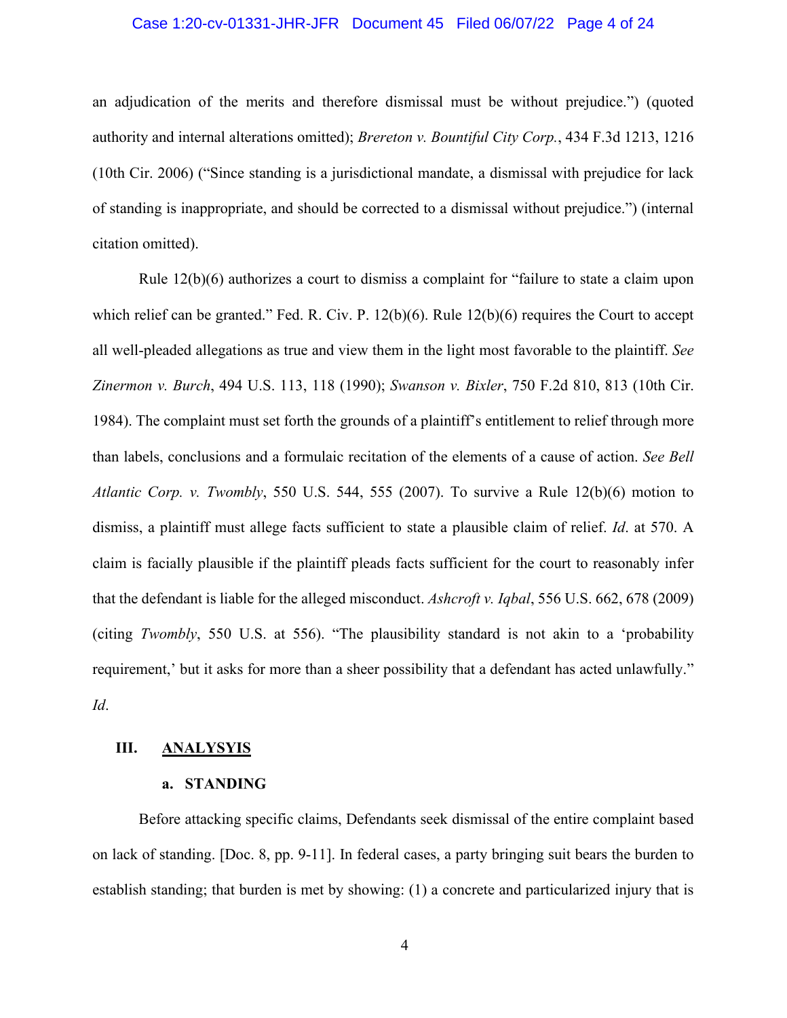# Case 1:20-cv-01331-JHR-JFR Document 45 Filed 06/07/22 Page 4 of 24

an adjudication of the merits and therefore dismissal must be without prejudice.") (quoted authority and internal alterations omitted); *Brereton v. Bountiful City Corp.*, 434 F.3d 1213, 1216 (10th Cir. 2006) ("Since standing is a jurisdictional mandate, a dismissal with prejudice for lack of standing is inappropriate, and should be corrected to a dismissal without prejudice.") (internal citation omitted).

Rule 12(b)(6) authorizes a court to dismiss a complaint for "failure to state a claim upon which relief can be granted." Fed. R. Civ. P. 12(b)(6). Rule 12(b)(6) requires the Court to accept all well-pleaded allegations as true and view them in the light most favorable to the plaintiff. *See Zinermon v. Burch*, 494 U.S. 113, 118 (1990); *Swanson v. Bixler*, 750 F.2d 810, 813 (10th Cir. 1984). The complaint must set forth the grounds of a plaintiff's entitlement to relief through more than labels, conclusions and a formulaic recitation of the elements of a cause of action. *See Bell Atlantic Corp. v. Twombly*, 550 U.S. 544, 555 (2007). To survive a Rule 12(b)(6) motion to dismiss, a plaintiff must allege facts sufficient to state a plausible claim of relief. *Id*. at 570. A claim is facially plausible if the plaintiff pleads facts sufficient for the court to reasonably infer that the defendant is liable for the alleged misconduct. *Ashcroft v. Iqbal*, 556 U.S. 662, 678 (2009) (citing *Twombly*, 550 U.S. at 556). "The plausibility standard is not akin to a 'probability requirement,' but it asks for more than a sheer possibility that a defendant has acted unlawfully." *Id*.

#### **III. ANALYSYIS**

#### **a. STANDING**

Before attacking specific claims, Defendants seek dismissal of the entire complaint based on lack of standing. [Doc. 8, pp. 9-11]. In federal cases, a party bringing suit bears the burden to establish standing; that burden is met by showing: (1) a concrete and particularized injury that is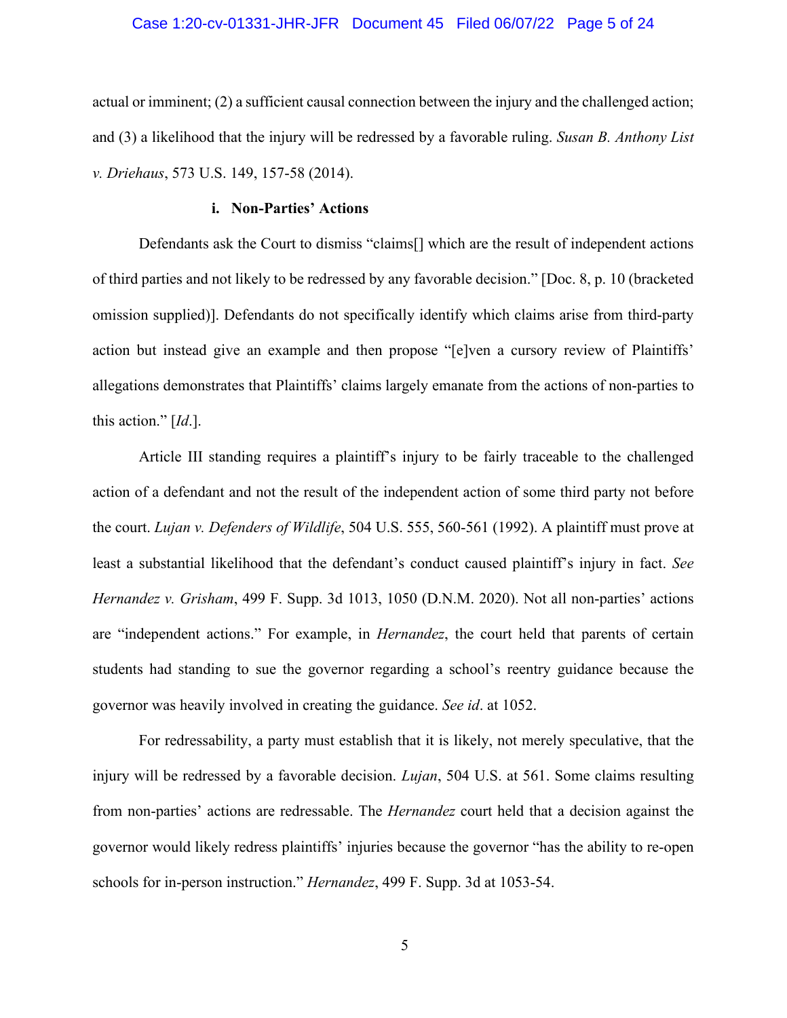# Case 1:20-cv-01331-JHR-JFR Document 45 Filed 06/07/22 Page 5 of 24

actual or imminent; (2) a sufficient causal connection between the injury and the challenged action; and (3) a likelihood that the injury will be redressed by a favorable ruling. *Susan B. Anthony List v. Driehaus*, 573 U.S. 149, 157-58 (2014).

# **i. Non-Parties' Actions**

Defendants ask the Court to dismiss "claims[] which are the result of independent actions of third parties and not likely to be redressed by any favorable decision." [Doc. 8, p. 10 (bracketed omission supplied)]. Defendants do not specifically identify which claims arise from third-party action but instead give an example and then propose "[e]ven a cursory review of Plaintiffs' allegations demonstrates that Plaintiffs' claims largely emanate from the actions of non-parties to this action." [*Id*.].

Article III standing requires a plaintiff's injury to be fairly traceable to the challenged action of a defendant and not the result of the independent action of some third party not before the court. *Lujan v. Defenders of Wildlife*, 504 U.S. 555, 560-561 (1992). A plaintiff must prove at least a substantial likelihood that the defendant's conduct caused plaintiff's injury in fact. *See Hernandez v. Grisham*, 499 F. Supp. 3d 1013, 1050 (D.N.M. 2020). Not all non-parties' actions are "independent actions." For example, in *Hernandez*, the court held that parents of certain students had standing to sue the governor regarding a school's reentry guidance because the governor was heavily involved in creating the guidance. *See id*. at 1052.

For redressability, a party must establish that it is likely, not merely speculative, that the injury will be redressed by a favorable decision. *Lujan*, 504 U.S. at 561. Some claims resulting from non-parties' actions are redressable. The *Hernandez* court held that a decision against the governor would likely redress plaintiffs' injuries because the governor "has the ability to re-open schools for in-person instruction." *Hernandez*, 499 F. Supp. 3d at 1053-54.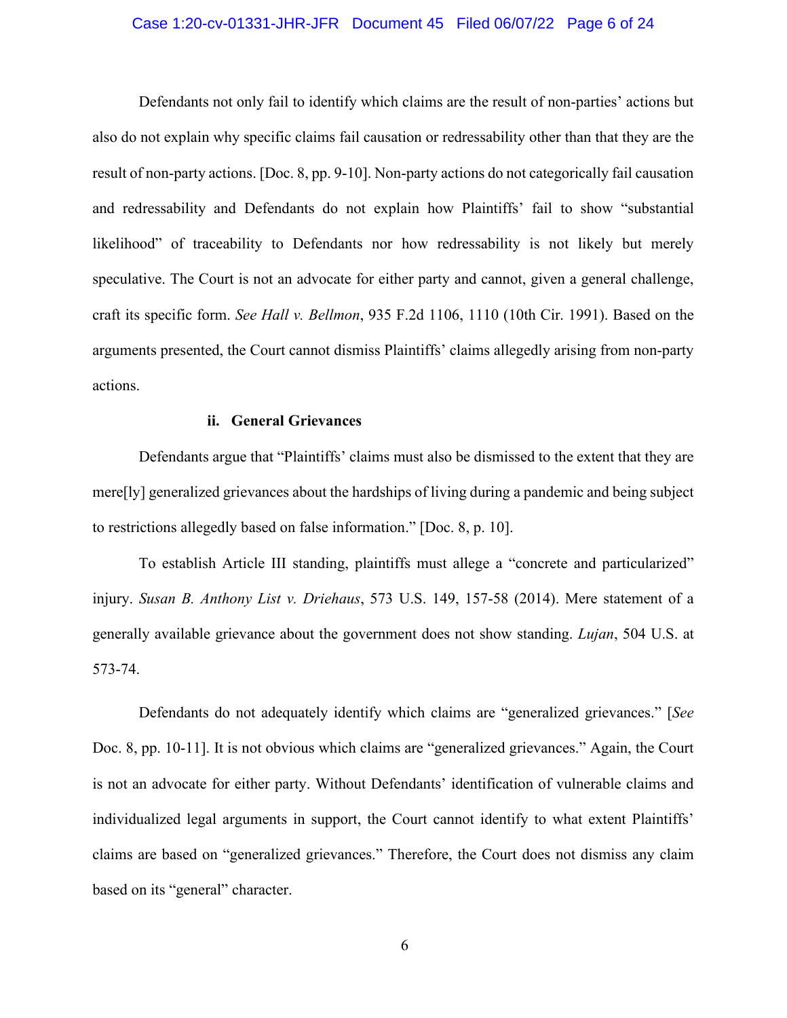# Case 1:20-cv-01331-JHR-JFR Document 45 Filed 06/07/22 Page 6 of 24

Defendants not only fail to identify which claims are the result of non-parties' actions but also do not explain why specific claims fail causation or redressability other than that they are the result of non-party actions. [Doc. 8, pp. 9-10]. Non-party actions do not categorically fail causation and redressability and Defendants do not explain how Plaintiffs' fail to show "substantial likelihood" of traceability to Defendants nor how redressability is not likely but merely speculative. The Court is not an advocate for either party and cannot, given a general challenge, craft its specific form. *See Hall v. Bellmon*, 935 F.2d 1106, 1110 (10th Cir. 1991). Based on the arguments presented, the Court cannot dismiss Plaintiffs' claims allegedly arising from non-party actions.

# **ii. General Grievances**

Defendants argue that "Plaintiffs' claims must also be dismissed to the extent that they are mere[ly] generalized grievances about the hardships of living during a pandemic and being subject to restrictions allegedly based on false information." [Doc. 8, p. 10].

To establish Article III standing, plaintiffs must allege a "concrete and particularized" injury. *Susan B. Anthony List v. Driehaus*, 573 U.S. 149, 157-58 (2014). Mere statement of a generally available grievance about the government does not show standing. *Lujan*, 504 U.S. at 573-74.

Defendants do not adequately identify which claims are "generalized grievances." [*See*  Doc. 8, pp. 10-11]. It is not obvious which claims are "generalized grievances." Again, the Court is not an advocate for either party. Without Defendants' identification of vulnerable claims and individualized legal arguments in support, the Court cannot identify to what extent Plaintiffs' claims are based on "generalized grievances." Therefore, the Court does not dismiss any claim based on its "general" character.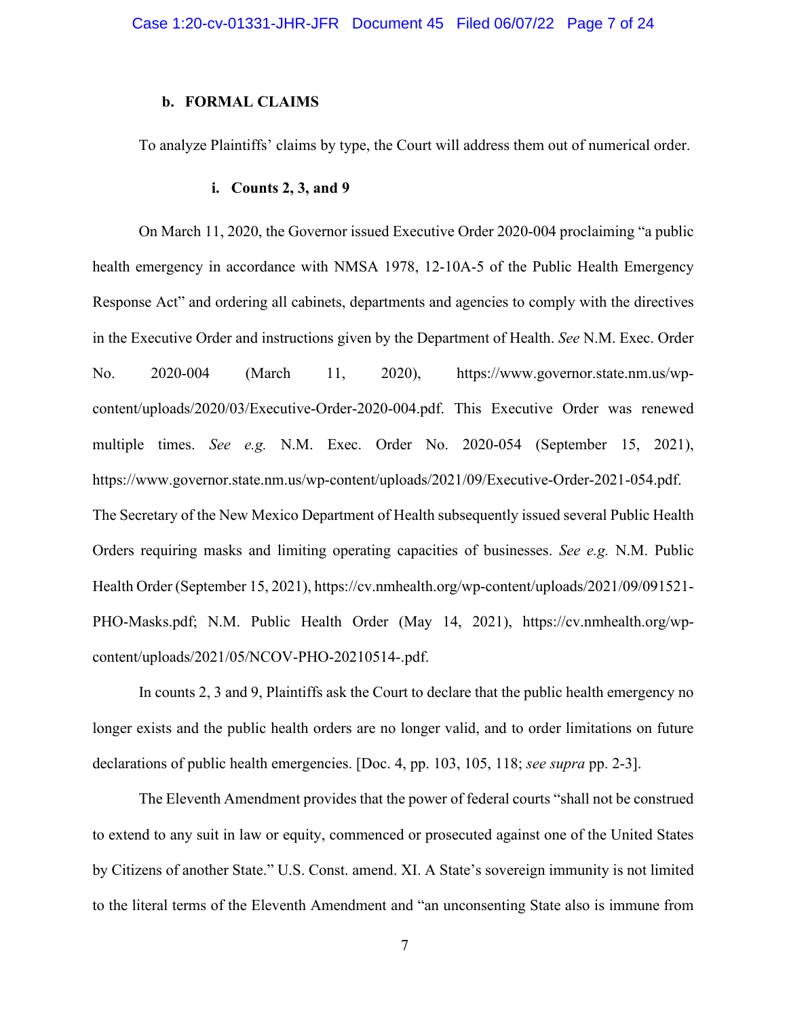# **b. FORMAL CLAIMS**

To analyze Plaintiffs' claims by type, the Court will address them out of numerical order.

#### **i. Counts 2, 3, and 9**

On March 11, 2020, the Governor issued Executive Order 2020-004 proclaiming "a public health emergency in accordance with NMSA 1978, 12-10A-5 of the Public Health Emergency Response Act" and ordering all cabinets, departments and agencies to comply with the directives in the Executive Order and instructions given by the Department of Health. *See* N.M. Exec. Order No. 2020-004 (March 11, 2020), https://www.governor.state.nm.us/wpcontent/uploads/2020/03/Executive-Order-2020-004.pdf. This Executive Order was renewed multiple times. *See e.g.* N.M. Exec. Order No. 2020-054 (September 15, 2021), https://www.governor.state.nm.us/wp-content/uploads/2021/09/Executive-Order-2021-054.pdf. The Secretary of the New Mexico Department of Health subsequently issued several Public Health Orders requiring masks and limiting operating capacities of businesses. *See e.g.* N.M. Public Health Order (September 15, 2021), https://cv.nmhealth.org/wp-content/uploads/2021/09/091521- PHO-Masks.pdf; N.M. Public Health Order (May 14, 2021), https://cv.nmhealth.org/wpcontent/uploads/2021/05/NCOV-PHO-20210514-.pdf.

In counts 2, 3 and 9, Plaintiffs ask the Court to declare that the public health emergency no longer exists and the public health orders are no longer valid, and to order limitations on future declarations of public health emergencies. [Doc. 4, pp. 103, 105, 118; *see supra* pp. 2-3].

The Eleventh Amendment provides that the power of federal courts "shall not be construed to extend to any suit in law or equity, commenced or prosecuted against one of the United States by Citizens of another State." U.S. Const. amend. XI. A State's sovereign immunity is not limited to the literal terms of the Eleventh Amendment and "an unconsenting State also is immune from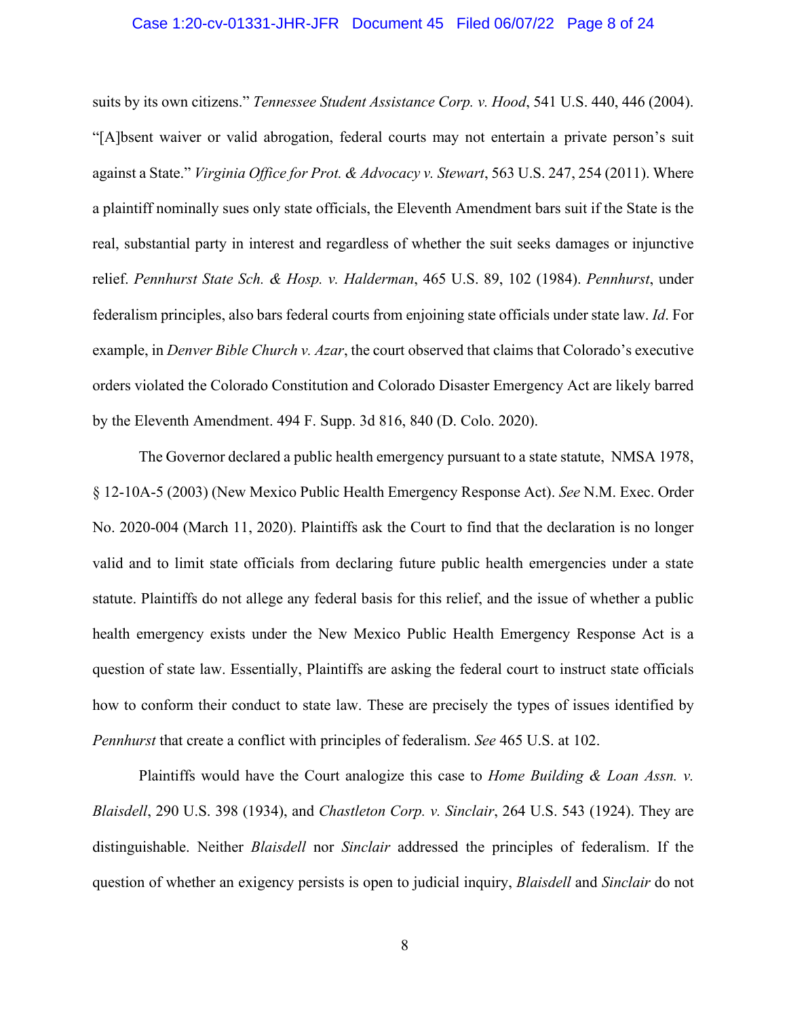## Case 1:20-cv-01331-JHR-JFR Document 45 Filed 06/07/22 Page 8 of 24

suits by its own citizens." *Tennessee Student Assistance Corp. v. Hood*, 541 U.S. 440, 446 (2004). "[A]bsent waiver or valid abrogation, federal courts may not entertain a private person's suit against a State." *Virginia Office for Prot. & Advocacy v. Stewart*, 563 U.S. 247, 254 (2011). Where a plaintiff nominally sues only state officials, the Eleventh Amendment bars suit if the State is the real, substantial party in interest and regardless of whether the suit seeks damages or injunctive relief. *Pennhurst State Sch. & Hosp. v. Halderman*, 465 U.S. 89, 102 (1984). *Pennhurst*, under federalism principles, also bars federal courts from enjoining state officials under state law. *Id*. For example, in *Denver Bible Church v. Azar*, the court observed that claims that Colorado's executive orders violated the Colorado Constitution and Colorado Disaster Emergency Act are likely barred by the Eleventh Amendment. 494 F. Supp. 3d 816, 840 (D. Colo. 2020).

The Governor declared a public health emergency pursuant to a state statute, NMSA 1978, § 12-10A-5 (2003) (New Mexico Public Health Emergency Response Act). *See* N.M. Exec. Order No. 2020-004 (March 11, 2020). Plaintiffs ask the Court to find that the declaration is no longer valid and to limit state officials from declaring future public health emergencies under a state statute. Plaintiffs do not allege any federal basis for this relief, and the issue of whether a public health emergency exists under the New Mexico Public Health Emergency Response Act is a question of state law. Essentially, Plaintiffs are asking the federal court to instruct state officials how to conform their conduct to state law. These are precisely the types of issues identified by *Pennhurst* that create a conflict with principles of federalism. *See* 465 U.S. at 102.

Plaintiffs would have the Court analogize this case to *Home Building & Loan Assn. v. Blaisdell*, 290 U.S. 398 (1934), and *Chastleton Corp. v. Sinclair*, 264 U.S. 543 (1924). They are distinguishable. Neither *Blaisdell* nor *Sinclair* addressed the principles of federalism. If the question of whether an exigency persists is open to judicial inquiry, *Blaisdell* and *Sinclair* do not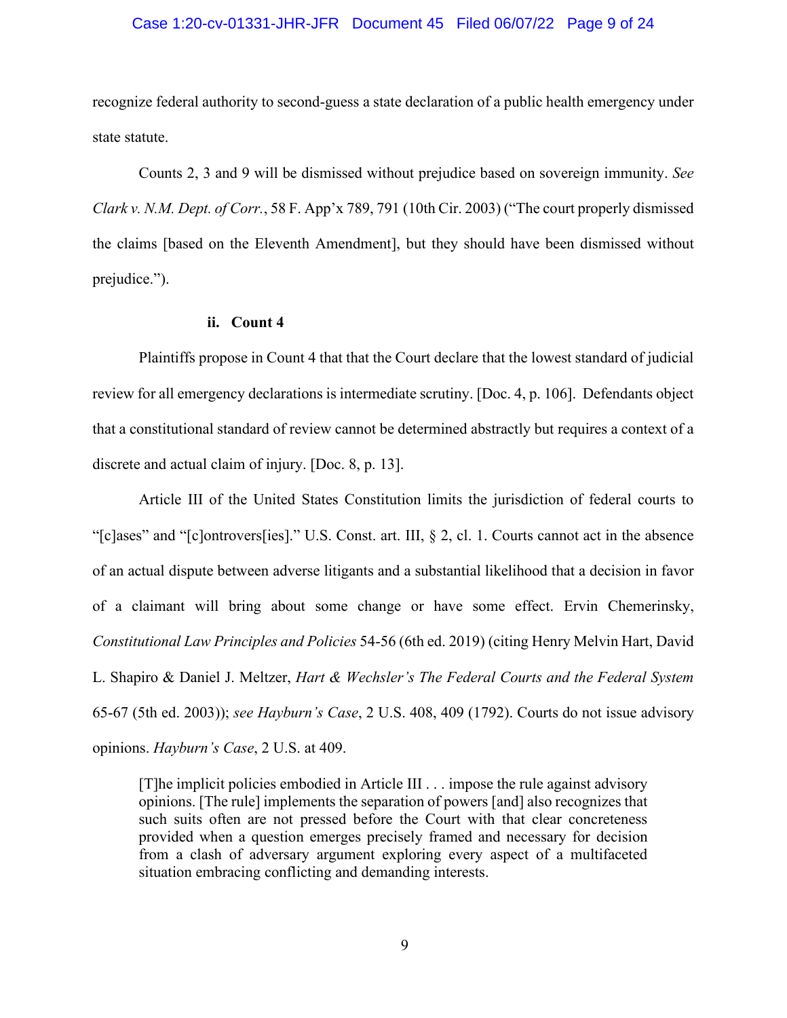# Case 1:20-cv-01331-JHR-JFR Document 45 Filed 06/07/22 Page 9 of 24

recognize federal authority to second-guess a state declaration of a public health emergency under state statute.

Counts 2, 3 and 9 will be dismissed without prejudice based on sovereign immunity. *See Clark v. N.M. Dept. of Corr.*, 58 F. App'x 789, 791 (10th Cir. 2003) ("The court properly dismissed the claims [based on the Eleventh Amendment], but they should have been dismissed without prejudice.").

#### **ii. Count 4**

Plaintiffs propose in Count 4 that that the Court declare that the lowest standard of judicial review for all emergency declarations is intermediate scrutiny. [Doc. 4, p. 106]. Defendants object that a constitutional standard of review cannot be determined abstractly but requires a context of a discrete and actual claim of injury. [Doc. 8, p. 13].

Article III of the United States Constitution limits the jurisdiction of federal courts to "[c]ases" and "[c]ontrovers[ies]." U.S. Const. art. III, § 2, cl. 1. Courts cannot act in the absence of an actual dispute between adverse litigants and a substantial likelihood that a decision in favor of a claimant will bring about some change or have some effect. Ervin Chemerinsky, *Constitutional Law Principles and Policies* 54-56 (6th ed. 2019) (citing Henry Melvin Hart, David L. Shapiro & Daniel J. Meltzer, *Hart & Wechsler's The Federal Courts and the Federal System* 65-67 (5th ed. 2003)); *see Hayburn's Case*, 2 U.S. 408, 409 (1792). Courts do not issue advisory opinions. *Hayburn's Case*, 2 U.S. at 409.

[T]he implicit policies embodied in Article III . . . impose the rule against advisory opinions. [The rule] implements the separation of powers [and] also recognizes that such suits often are not pressed before the Court with that clear concreteness provided when a question emerges precisely framed and necessary for decision from a clash of adversary argument exploring every aspect of a multifaceted situation embracing conflicting and demanding interests.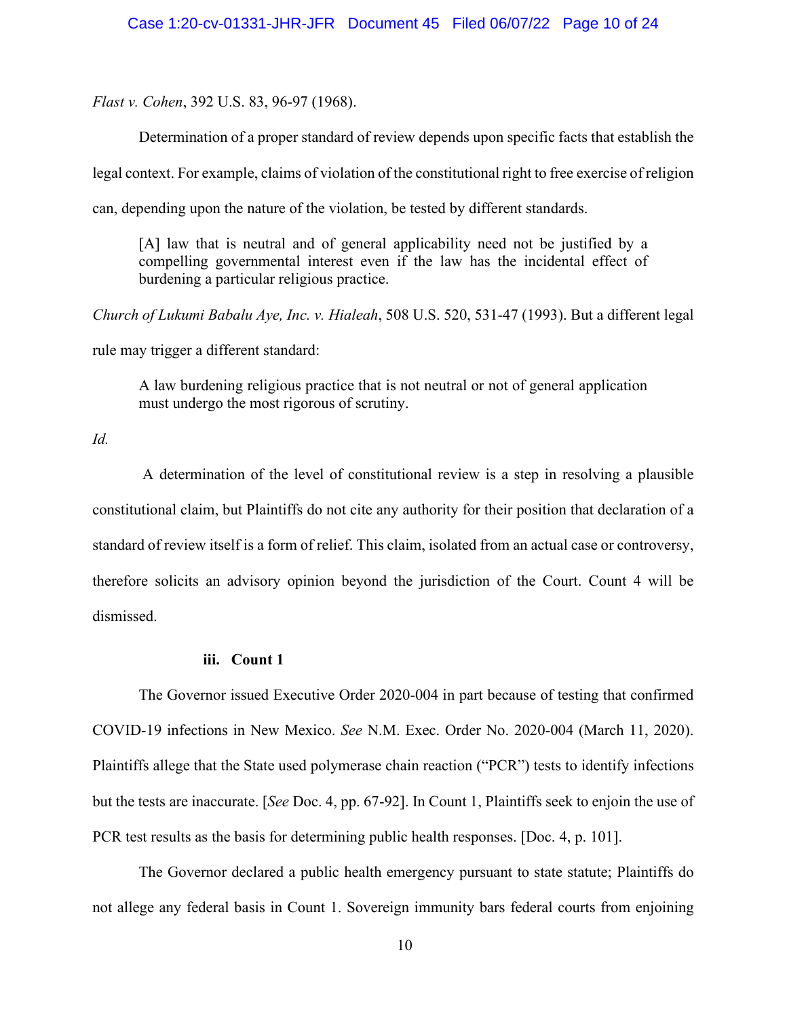*Flast v. Cohen*, 392 U.S. 83, 96-97 (1968).

Determination of a proper standard of review depends upon specific facts that establish the legal context. For example, claims of violation of the constitutional right to free exercise of religion can, depending upon the nature of the violation, be tested by different standards.

[A] law that is neutral and of general applicability need not be justified by a compelling governmental interest even if the law has the incidental effect of burdening a particular religious practice.

*Church of Lukumi Babalu Aye, Inc. v. Hialeah*, 508 U.S. 520, 531-47 (1993). But a different legal rule may trigger a different standard:

A law burdening religious practice that is not neutral or not of general application must undergo the most rigorous of scrutiny.

*Id.*

A determination of the level of constitutional review is a step in resolving a plausible constitutional claim, but Plaintiffs do not cite any authority for their position that declaration of a standard of review itself is a form of relief. This claim, isolated from an actual case or controversy, therefore solicits an advisory opinion beyond the jurisdiction of the Court. Count 4 will be dismissed.

# **iii. Count 1**

The Governor issued Executive Order 2020-004 in part because of testing that confirmed COVID-19 infections in New Mexico. *See* N.M. Exec. Order No. 2020-004 (March 11, 2020). Plaintiffs allege that the State used polymerase chain reaction ("PCR") tests to identify infections but the tests are inaccurate. [*See* Doc. 4, pp. 67-92]. In Count 1, Plaintiffs seek to enjoin the use of PCR test results as the basis for determining public health responses. [Doc. 4, p. 101].

The Governor declared a public health emergency pursuant to state statute; Plaintiffs do not allege any federal basis in Count 1. Sovereign immunity bars federal courts from enjoining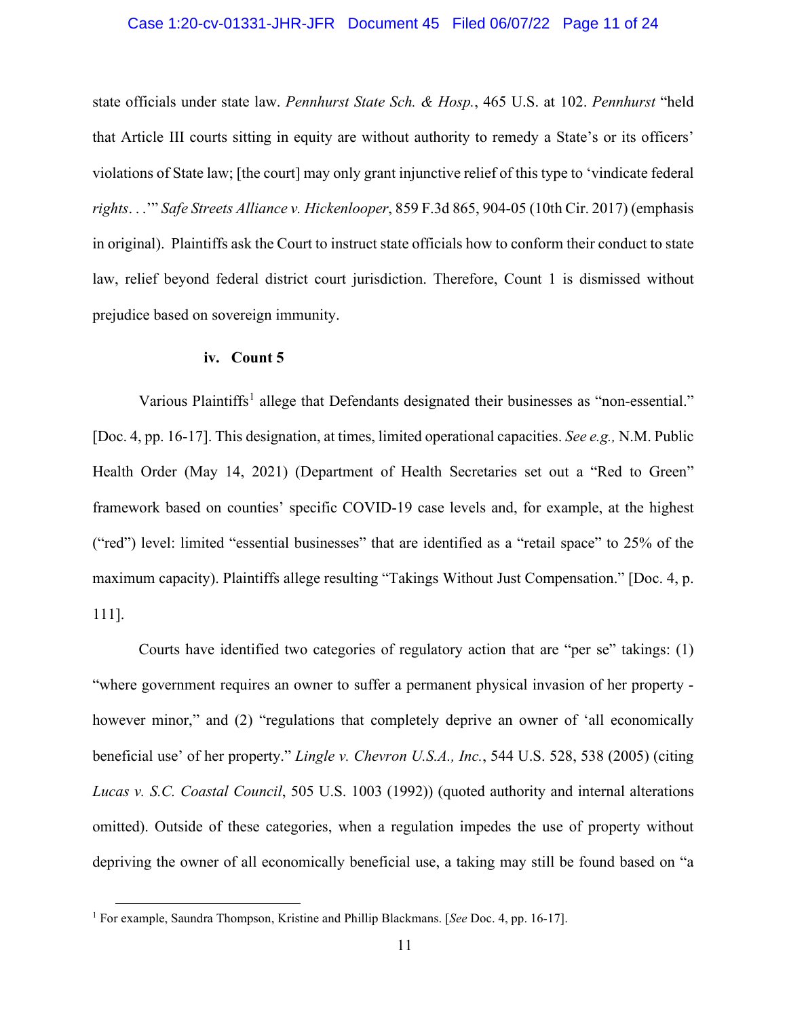# Case 1:20-cv-01331-JHR-JFR Document 45 Filed 06/07/22 Page 11 of 24

state officials under state law. *Pennhurst State Sch. & Hosp.*, 465 U.S. at 102. *Pennhurst* "held that Article III courts sitting in equity are without authority to remedy a State's or its officers' violations of State law; [the court] may only grant injunctive relief of this type to 'vindicate federal *rights*. . .'" *Safe Streets Alliance v. Hickenlooper*, 859 F.3d 865, 904-05 (10th Cir. 2017) (emphasis in original). Plaintiffs ask the Court to instruct state officials how to conform their conduct to state law, relief beyond federal district court jurisdiction. Therefore, Count 1 is dismissed without prejudice based on sovereign immunity.

# **iv. Count 5**

Various Plaintiffs<sup>[1](#page-10-0)</sup> allege that Defendants designated their businesses as "non-essential." [Doc. 4, pp. 16-17]. This designation, at times, limited operational capacities. *See e.g.,* N.M. Public Health Order (May 14, 2021) (Department of Health Secretaries set out a "Red to Green" framework based on counties' specific COVID-19 case levels and, for example, at the highest ("red") level: limited "essential businesses" that are identified as a "retail space" to 25% of the maximum capacity). Plaintiffs allege resulting "Takings Without Just Compensation." [Doc. 4, p. 111].

Courts have identified two categories of regulatory action that are "per se" takings: (1) "where government requires an owner to suffer a permanent physical invasion of her property however minor," and (2) "regulations that completely deprive an owner of 'all economically beneficial use' of her property." *Lingle v. Chevron U.S.A., Inc.*, 544 U.S. 528, 538 (2005) (citing *Lucas v. S.C. Coastal Council*, 505 U.S. 1003 (1992)) (quoted authority and internal alterations omitted). Outside of these categories, when a regulation impedes the use of property without depriving the owner of all economically beneficial use, a taking may still be found based on "a

<span id="page-10-0"></span><sup>1</sup> For example, Saundra Thompson, Kristine and Phillip Blackmans. [*See* Doc. 4, pp. 16-17].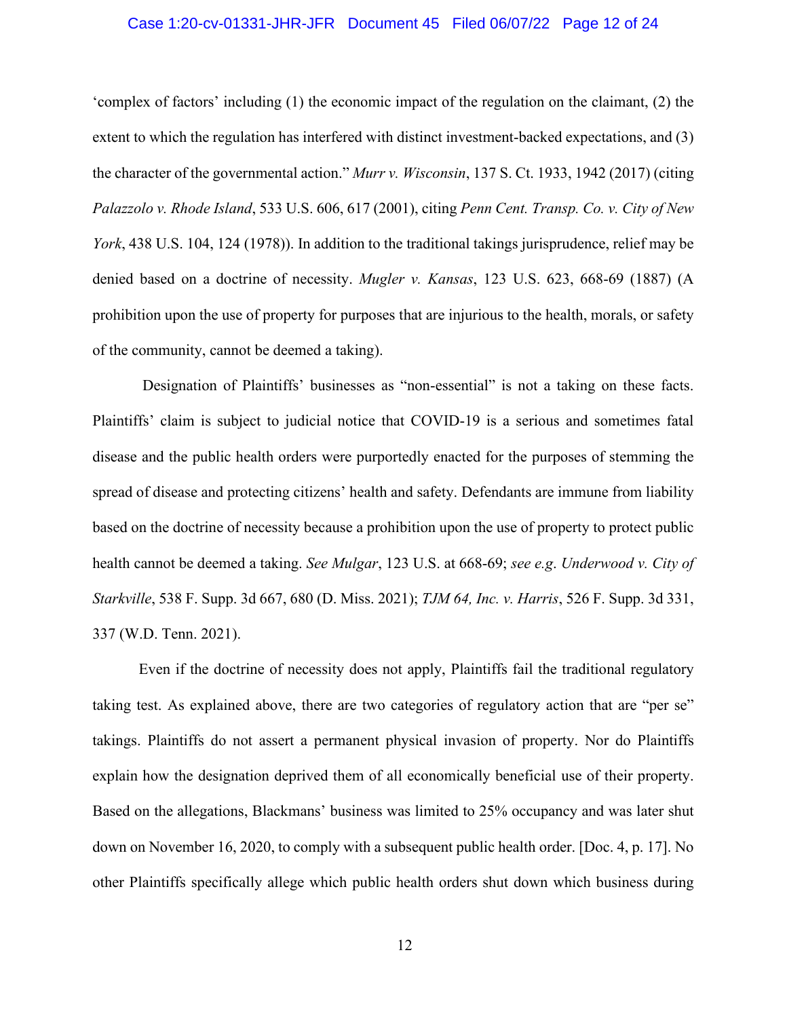# Case 1:20-cv-01331-JHR-JFR Document 45 Filed 06/07/22 Page 12 of 24

'complex of factors' including (1) the economic impact of the regulation on the claimant, (2) the extent to which the regulation has interfered with distinct investment-backed expectations, and (3) the character of the governmental action." *Murr v. Wisconsin*, 137 S. Ct. 1933, 1942 (2017) (citing *Palazzolo v. Rhode Island*, 533 U.S. 606, 617 (2001), citing *Penn Cent. Transp. Co. v. City of New York*, 438 U.S. 104, 124 (1978)). In addition to the traditional takings jurisprudence, relief may be denied based on a doctrine of necessity. *Mugler v. Kansas*, 123 U.S. 623, 668-69 (1887) (A prohibition upon the use of property for purposes that are injurious to the health, morals, or safety of the community, cannot be deemed a taking).

Designation of Plaintiffs' businesses as "non-essential" is not a taking on these facts. Plaintiffs' claim is subject to judicial notice that COVID-19 is a serious and sometimes fatal disease and the public health orders were purportedly enacted for the purposes of stemming the spread of disease and protecting citizens' health and safety. Defendants are immune from liability based on the doctrine of necessity because a prohibition upon the use of property to protect public health cannot be deemed a taking. *See Mulgar*, 123 U.S. at 668-69; *see e.g*. *Underwood v. City of Starkville*, 538 F. Supp. 3d 667, 680 (D. Miss. 2021); *TJM 64, Inc. v. Harris*, 526 F. Supp. 3d 331, 337 (W.D. Tenn. 2021).

Even if the doctrine of necessity does not apply, Plaintiffs fail the traditional regulatory taking test. As explained above, there are two categories of regulatory action that are "per se" takings. Plaintiffs do not assert a permanent physical invasion of property. Nor do Plaintiffs explain how the designation deprived them of all economically beneficial use of their property. Based on the allegations, Blackmans' business was limited to 25% occupancy and was later shut down on November 16, 2020, to comply with a subsequent public health order. [Doc. 4, p. 17]. No other Plaintiffs specifically allege which public health orders shut down which business during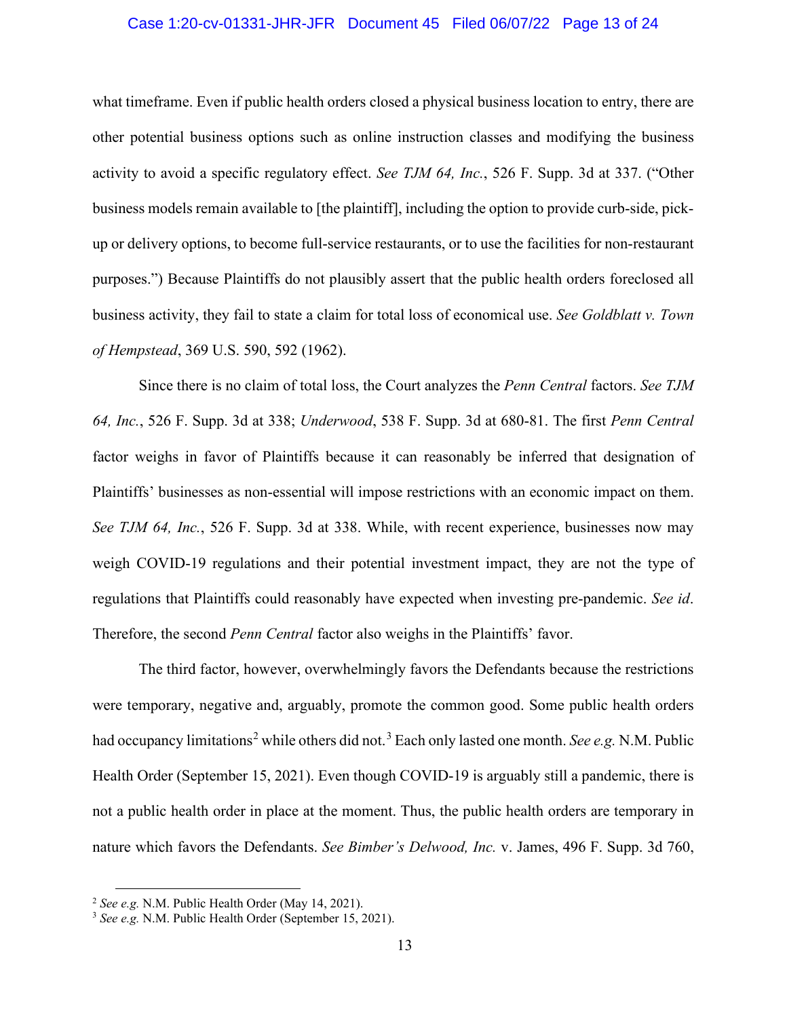# Case 1:20-cv-01331-JHR-JFR Document 45 Filed 06/07/22 Page 13 of 24

what timeframe. Even if public health orders closed a physical business location to entry, there are other potential business options such as online instruction classes and modifying the business activity to avoid a specific regulatory effect. *See TJM 64, Inc.*, 526 F. Supp. 3d at 337. ("Other business models remain available to [the plaintiff], including the option to provide curb-side, pickup or delivery options, to become full-service restaurants, or to use the facilities for non-restaurant purposes.") Because Plaintiffs do not plausibly assert that the public health orders foreclosed all business activity, they fail to state a claim for total loss of economical use. *See Goldblatt v. Town of Hempstead*, 369 U.S. 590, 592 (1962).

Since there is no claim of total loss, the Court analyzes the *Penn Central* factors. *See TJM 64, Inc.*, 526 F. Supp. 3d at 338; *Underwood*, 538 F. Supp. 3d at 680-81. The first *Penn Central*  factor weighs in favor of Plaintiffs because it can reasonably be inferred that designation of Plaintiffs' businesses as non-essential will impose restrictions with an economic impact on them. *See TJM 64, Inc.*, 526 F. Supp. 3d at 338. While, with recent experience, businesses now may weigh COVID-19 regulations and their potential investment impact, they are not the type of regulations that Plaintiffs could reasonably have expected when investing pre-pandemic. *See id*. Therefore, the second *Penn Central* factor also weighs in the Plaintiffs' favor.

The third factor, however, overwhelmingly favors the Defendants because the restrictions were temporary, negative and, arguably, promote the common good. Some public health orders had occupancy limitations<sup>[2](#page-12-0)</sup> while others did not.<sup>[3](#page-12-1)</sup> Each only lasted one month. *See e.g.* N.M. Public Health Order (September 15, 2021). Even though COVID-19 is arguably still a pandemic, there is not a public health order in place at the moment. Thus, the public health orders are temporary in nature which favors the Defendants. *See Bimber's Delwood, Inc.* v. James, 496 F. Supp. 3d 760,

<span id="page-12-0"></span><sup>2</sup> *See e.g.* N.M. Public Health Order (May 14, 2021).

<span id="page-12-1"></span><sup>3</sup> *See e.g.* N.M. Public Health Order (September 15, 2021).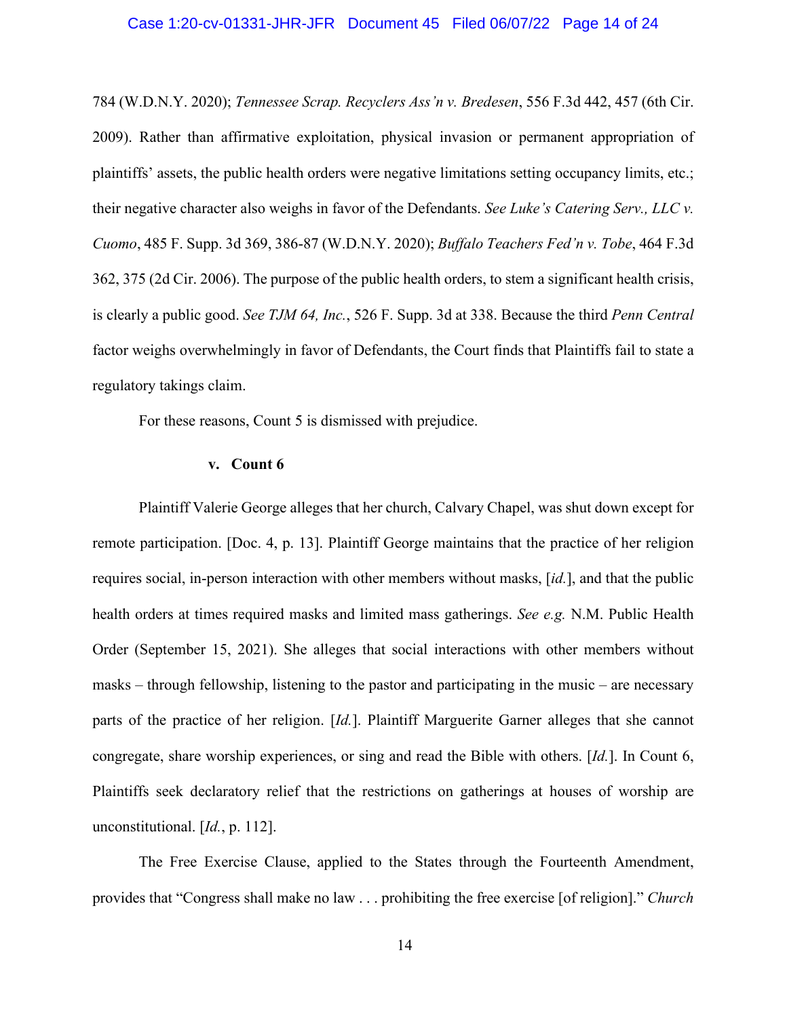#### Case 1:20-cv-01331-JHR-JFR Document 45 Filed 06/07/22 Page 14 of 24

784 (W.D.N.Y. 2020); *Tennessee Scrap. Recyclers Ass'n v. Bredesen*, 556 F.3d 442, 457 (6th Cir. 2009). Rather than affirmative exploitation, physical invasion or permanent appropriation of plaintiffs' assets, the public health orders were negative limitations setting occupancy limits, etc.; their negative character also weighs in favor of the Defendants. *See Luke's Catering Serv., LLC v. Cuomo*, 485 F. Supp. 3d 369, 386-87 (W.D.N.Y. 2020); *Buffalo Teachers Fed'n v. Tobe*, 464 F.3d 362, 375 (2d Cir. 2006). The purpose of the public health orders, to stem a significant health crisis, is clearly a public good. *See TJM 64, Inc.*, 526 F. Supp. 3d at 338. Because the third *Penn Central*  factor weighs overwhelmingly in favor of Defendants, the Court finds that Plaintiffs fail to state a regulatory takings claim.

For these reasons, Count 5 is dismissed with prejudice.

#### **v. Count 6**

Plaintiff Valerie George alleges that her church, Calvary Chapel, was shut down except for remote participation. [Doc. 4, p. 13]. Plaintiff George maintains that the practice of her religion requires social, in-person interaction with other members without masks, [*id.*], and that the public health orders at times required masks and limited mass gatherings. *See e.g.* N.M. Public Health Order (September 15, 2021). She alleges that social interactions with other members without masks – through fellowship, listening to the pastor and participating in the music – are necessary parts of the practice of her religion. [*Id.*]. Plaintiff Marguerite Garner alleges that she cannot congregate, share worship experiences, or sing and read the Bible with others. [*Id.*]. In Count 6, Plaintiffs seek declaratory relief that the restrictions on gatherings at houses of worship are unconstitutional. [*Id.*, p. 112].

The Free Exercise Clause, applied to the States through the Fourteenth Amendment, provides that "Congress shall make no law . . . prohibiting the free exercise [of religion]." *Church*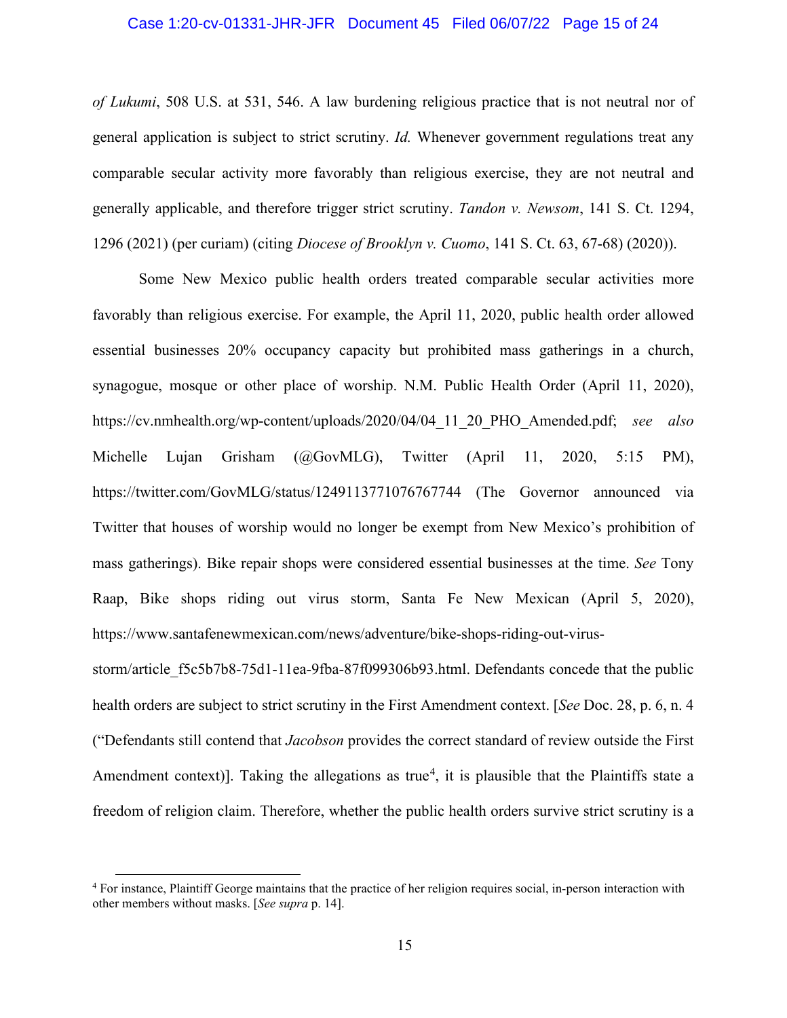# Case 1:20-cv-01331-JHR-JFR Document 45 Filed 06/07/22 Page 15 of 24

*of Lukumi*, 508 U.S. at 531, 546. A law burdening religious practice that is not neutral nor of general application is subject to strict scrutiny. *Id.* Whenever government regulations treat any comparable secular activity more favorably than religious exercise, they are not neutral and generally applicable, and therefore trigger strict scrutiny. *Tandon v. Newsom*, 141 S. Ct. 1294, 1296 (2021) (per curiam) (citing *Diocese of Brooklyn v. Cuomo*, 141 S. Ct. 63, 67-68) (2020)).

Some New Mexico public health orders treated comparable secular activities more favorably than religious exercise. For example, the April 11, 2020, public health order allowed essential businesses 20% occupancy capacity but prohibited mass gatherings in a church, synagogue, mosque or other place of worship. N.M. Public Health Order (April 11, 2020), https://cv.nmhealth.org/wp-content/uploads/2020/04/04\_11\_20\_PHO\_Amended.pdf; *see also*  Michelle Lujan Grisham (@GovMLG), Twitter (April 11, 2020, 5:15 PM), https://twitter.com/GovMLG/status/1249113771076767744 (The Governor announced via Twitter that houses of worship would no longer be exempt from New Mexico's prohibition of mass gatherings). Bike repair shops were considered essential businesses at the time. *See* Tony Raap, Bike shops riding out virus storm, Santa Fe New Mexican (April 5, 2020), https://www.santafenewmexican.com/news/adventure/bike-shops-riding-out-virus-

storm/article\_f5c5b7b8-75d1-11ea-9fba-87f099306b93.html. Defendants concede that the public health orders are subject to strict scrutiny in the First Amendment context. [*See* Doc. 28, p. 6, n. 4 ("Defendants still contend that *Jacobson* provides the correct standard of review outside the First Amendment context)]. Taking the allegations as true<sup>[4](#page-14-0)</sup>, it is plausible that the Plaintiffs state a freedom of religion claim. Therefore, whether the public health orders survive strict scrutiny is a

<span id="page-14-0"></span><sup>4</sup> For instance, Plaintiff George maintains that the practice of her religion requires social, in-person interaction with other members without masks. [*See supra* p. 14].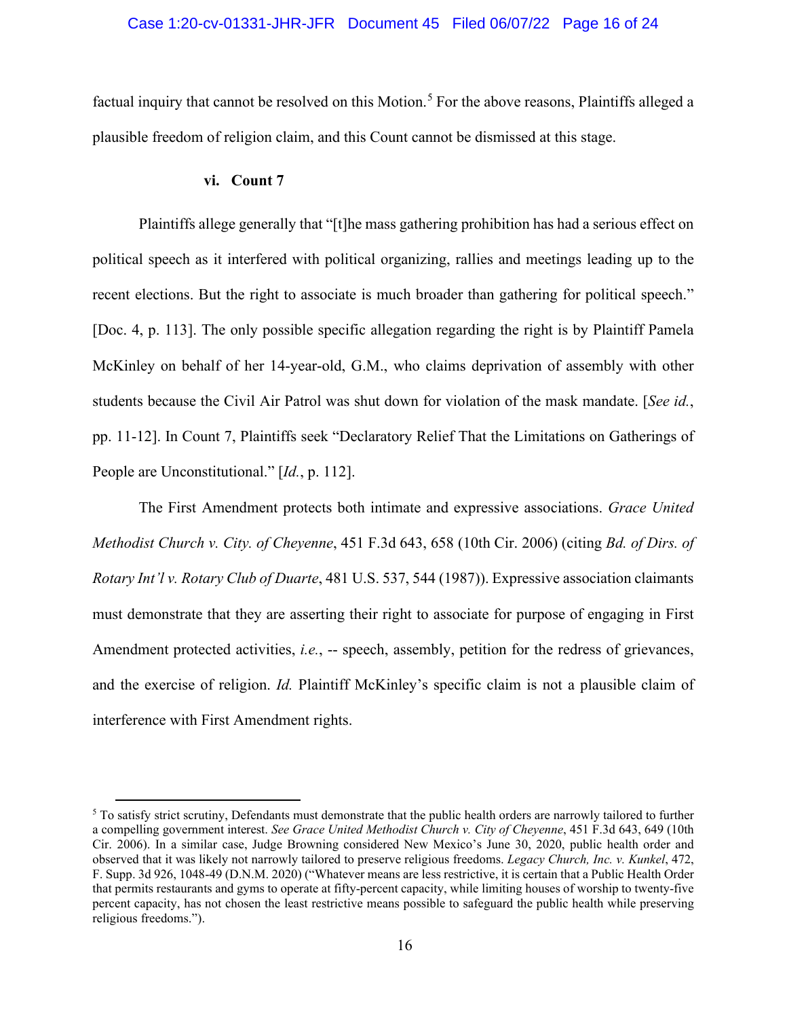# Case 1:20-cv-01331-JHR-JFR Document 45 Filed 06/07/22 Page 16 of 24

factual inquiry that cannot be resolved on this Motion.<sup>[5](#page-15-0)</sup> For the above reasons, Plaintiffs alleged a plausible freedom of religion claim, and this Count cannot be dismissed at this stage.

# **vi. Count 7**

Plaintiffs allege generally that "[t]he mass gathering prohibition has had a serious effect on political speech as it interfered with political organizing, rallies and meetings leading up to the recent elections. But the right to associate is much broader than gathering for political speech." [Doc. 4, p. 113]. The only possible specific allegation regarding the right is by Plaintiff Pamela McKinley on behalf of her 14-year-old, G.M., who claims deprivation of assembly with other students because the Civil Air Patrol was shut down for violation of the mask mandate. [*See id.*, pp. 11-12]. In Count 7, Plaintiffs seek "Declaratory Relief That the Limitations on Gatherings of People are Unconstitutional." [*Id.*, p. 112].

The First Amendment protects both intimate and expressive associations. *Grace United Methodist Church v. City. of Cheyenne*, 451 F.3d 643, 658 (10th Cir. 2006) (citing *Bd. of Dirs. of Rotary Int'l v. Rotary Club of Duarte*, 481 U.S. 537, 544 (1987)). Expressive association claimants must demonstrate that they are asserting their right to associate for purpose of engaging in First Amendment protected activities, *i.e.*, -- speech, assembly, petition for the redress of grievances, and the exercise of religion. *Id.* Plaintiff McKinley's specific claim is not a plausible claim of interference with First Amendment rights.

<span id="page-15-0"></span><sup>&</sup>lt;sup>5</sup> To satisfy strict scrutiny, Defendants must demonstrate that the public health orders are narrowly tailored to further a compelling government interest. *See Grace United Methodist Church v. City of Cheyenne*, 451 F.3d 643, 649 (10th Cir. 2006). In a similar case, Judge Browning considered New Mexico's June 30, 2020, public health order and observed that it was likely not narrowly tailored to preserve religious freedoms. *Legacy Church, Inc. v. Kunkel*, 472, F. Supp. 3d 926, 1048-49 (D.N.M. 2020) ("Whatever means are less restrictive, it is certain that a Public Health Order that permits restaurants and gyms to operate at fifty-percent capacity, while limiting houses of worship to twenty-five percent capacity, has not chosen the least restrictive means possible to safeguard the public health while preserving religious freedoms.").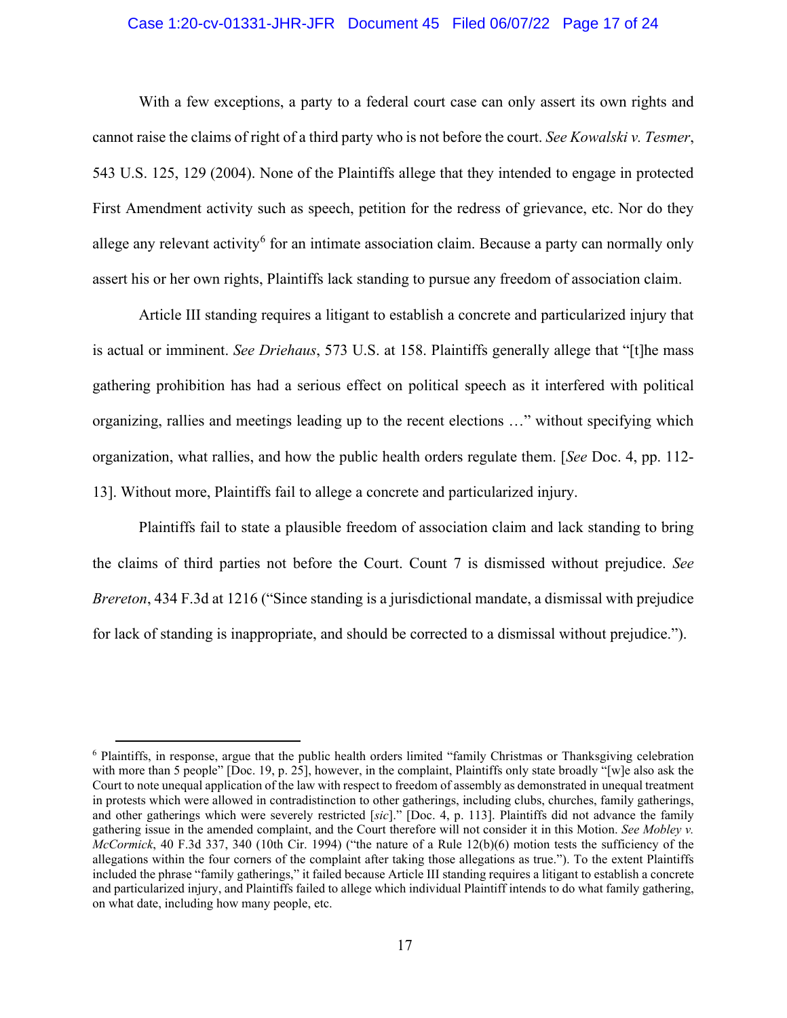# Case 1:20-cv-01331-JHR-JFR Document 45 Filed 06/07/22 Page 17 of 24

With a few exceptions, a party to a federal court case can only assert its own rights and cannot raise the claims of right of a third party who is not before the court. *See Kowalski v. Tesmer*, 543 U.S. 125, 129 (2004). None of the Plaintiffs allege that they intended to engage in protected First Amendment activity such as speech, petition for the redress of grievance, etc. Nor do they allege any relevant activity<sup>[6](#page-16-0)</sup> for an intimate association claim. Because a party can normally only assert his or her own rights, Plaintiffs lack standing to pursue any freedom of association claim.

Article III standing requires a litigant to establish a concrete and particularized injury that is actual or imminent. *See Driehaus*, 573 U.S. at 158. Plaintiffs generally allege that "[t]he mass gathering prohibition has had a serious effect on political speech as it interfered with political organizing, rallies and meetings leading up to the recent elections …" without specifying which organization, what rallies, and how the public health orders regulate them. [*See* Doc. 4, pp. 112- 13]. Without more, Plaintiffs fail to allege a concrete and particularized injury.

Plaintiffs fail to state a plausible freedom of association claim and lack standing to bring the claims of third parties not before the Court. Count 7 is dismissed without prejudice. *See Brereton*, 434 F.3d at 1216 ("Since standing is a jurisdictional mandate, a dismissal with prejudice for lack of standing is inappropriate, and should be corrected to a dismissal without prejudice.").

<span id="page-16-0"></span><sup>6</sup> Plaintiffs, in response, argue that the public health orders limited "family Christmas or Thanksgiving celebration with more than 5 people" [Doc. 19, p. 25], however, in the complaint, Plaintiffs only state broadly "[w]e also ask the Court to note unequal application of the law with respect to freedom of assembly as demonstrated in unequal treatment in protests which were allowed in contradistinction to other gatherings, including clubs, churches, family gatherings, and other gatherings which were severely restricted [*sic*]." [Doc. 4, p. 113]. Plaintiffs did not advance the family gathering issue in the amended complaint, and the Court therefore will not consider it in this Motion. *See Mobley v. McCormick*, 40 F.3d 337, 340 (10th Cir. 1994) ("the nature of a Rule 12(b)(6) motion tests the sufficiency of the allegations within the four corners of the complaint after taking those allegations as true."). To the extent Plaintiffs included the phrase "family gatherings," it failed because Article III standing requires a litigant to establish a concrete and particularized injury, and Plaintiffs failed to allege which individual Plaintiff intends to do what family gathering, on what date, including how many people, etc.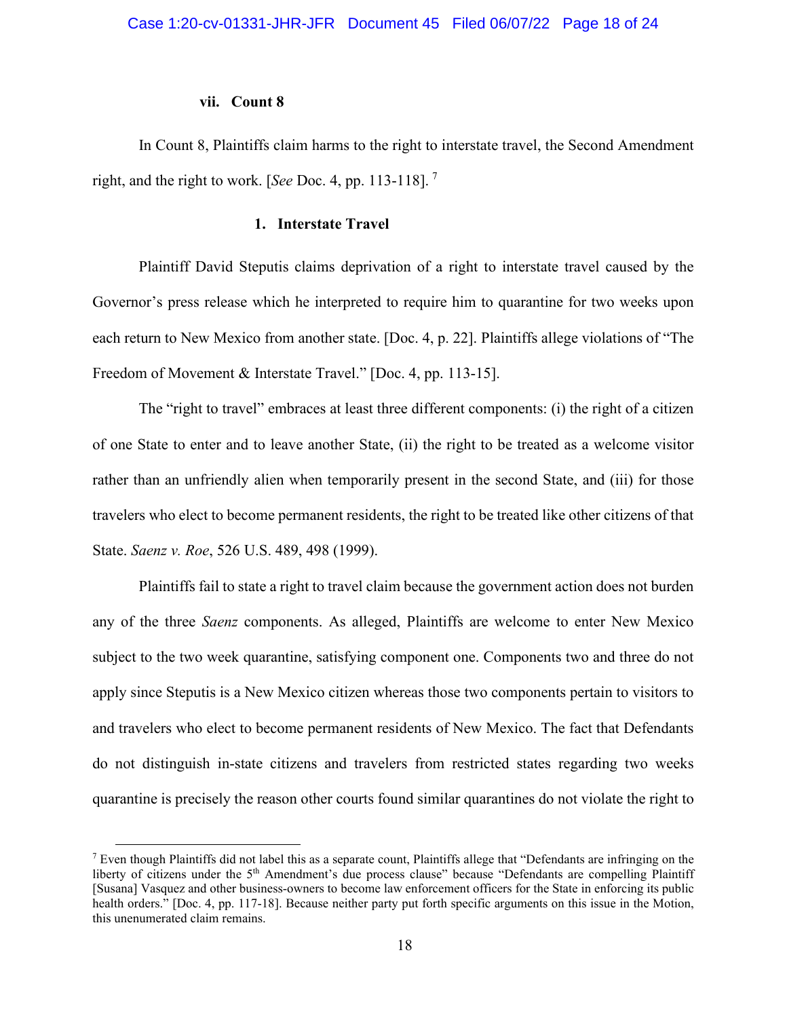#### **vii. Count 8**

In Count 8, Plaintiffs claim harms to the right to interstate travel, the Second Amendment right, and the right to work. [*See* Doc. 4, pp. 113-118]. [7](#page-17-0)

#### **1. Interstate Travel**

Plaintiff David Steputis claims deprivation of a right to interstate travel caused by the Governor's press release which he interpreted to require him to quarantine for two weeks upon each return to New Mexico from another state. [Doc. 4, p. 22]. Plaintiffs allege violations of "The Freedom of Movement & Interstate Travel." [Doc. 4, pp. 113-15].

The "right to travel" embraces at least three different components: (i) the right of a citizen of one State to enter and to leave another State, (ii) the right to be treated as a welcome visitor rather than an unfriendly alien when temporarily present in the second State, and (iii) for those travelers who elect to become permanent residents, the right to be treated like other citizens of that State. *Saenz v. Roe*, 526 U.S. 489, 498 (1999).

Plaintiffs fail to state a right to travel claim because the government action does not burden any of the three *Saenz* components. As alleged, Plaintiffs are welcome to enter New Mexico subject to the two week quarantine, satisfying component one. Components two and three do not apply since Steputis is a New Mexico citizen whereas those two components pertain to visitors to and travelers who elect to become permanent residents of New Mexico. The fact that Defendants do not distinguish in-state citizens and travelers from restricted states regarding two weeks quarantine is precisely the reason other courts found similar quarantines do not violate the right to

<span id="page-17-0"></span><sup>&</sup>lt;sup>7</sup> Even though Plaintiffs did not label this as a separate count, Plaintiffs allege that "Defendants are infringing on the liberty of citizens under the 5th Amendment's due process clause" because "Defendants are compelling Plaintiff [Susana] Vasquez and other business-owners to become law enforcement officers for the State in enforcing its public health orders." [Doc. 4, pp. 117-18]. Because neither party put forth specific arguments on this issue in the Motion, this unenumerated claim remains.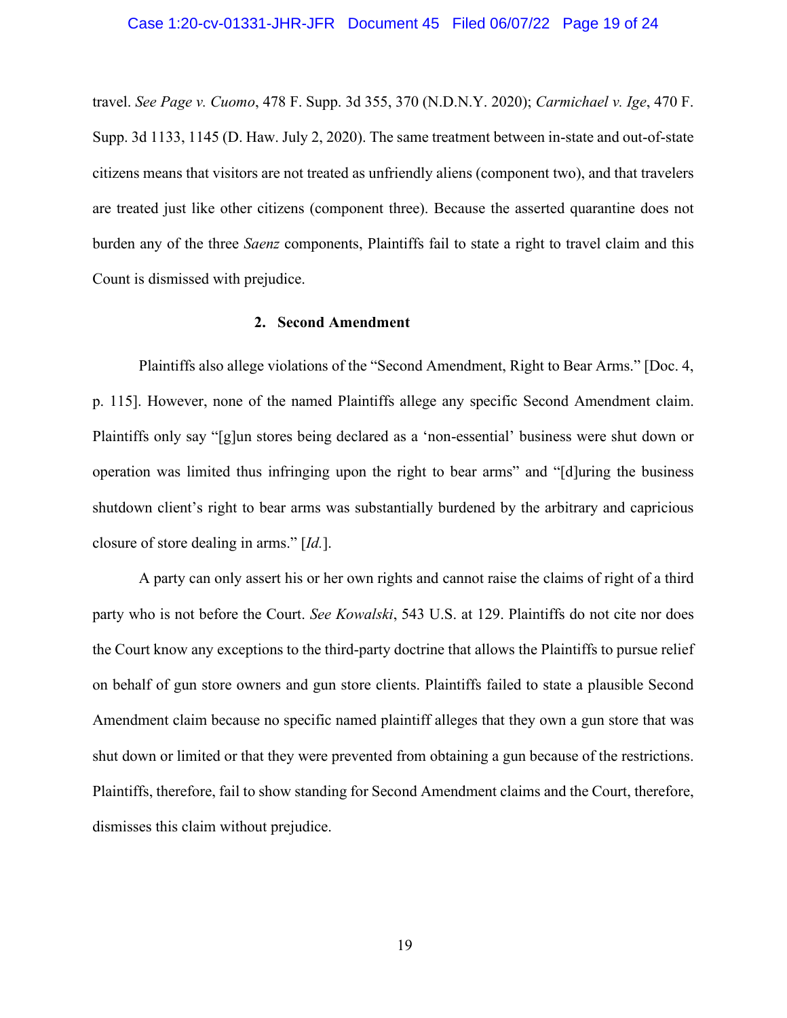#### Case 1:20-cv-01331-JHR-JFR Document 45 Filed 06/07/22 Page 19 of 24

travel. *See Page v. Cuomo*, 478 F. Supp. 3d 355, 370 (N.D.N.Y. 2020); *Carmichael v. Ige*, 470 F. Supp. 3d 1133, 1145 (D. Haw. July 2, 2020). The same treatment between in-state and out-of-state citizens means that visitors are not treated as unfriendly aliens (component two), and that travelers are treated just like other citizens (component three). Because the asserted quarantine does not burden any of the three *Saenz* components, Plaintiffs fail to state a right to travel claim and this Count is dismissed with prejudice.

# **2. Second Amendment**

Plaintiffs also allege violations of the "Second Amendment, Right to Bear Arms." [Doc. 4, p. 115]. However, none of the named Plaintiffs allege any specific Second Amendment claim. Plaintiffs only say "[g]un stores being declared as a 'non-essential' business were shut down or operation was limited thus infringing upon the right to bear arms" and "[d]uring the business shutdown client's right to bear arms was substantially burdened by the arbitrary and capricious closure of store dealing in arms." [*Id.*].

 A party can only assert his or her own rights and cannot raise the claims of right of a third party who is not before the Court. *See Kowalski*, 543 U.S. at 129. Plaintiffs do not cite nor does the Court know any exceptions to the third-party doctrine that allows the Plaintiffs to pursue relief on behalf of gun store owners and gun store clients. Plaintiffs failed to state a plausible Second Amendment claim because no specific named plaintiff alleges that they own a gun store that was shut down or limited or that they were prevented from obtaining a gun because of the restrictions. Plaintiffs, therefore, fail to show standing for Second Amendment claims and the Court, therefore, dismisses this claim without prejudice.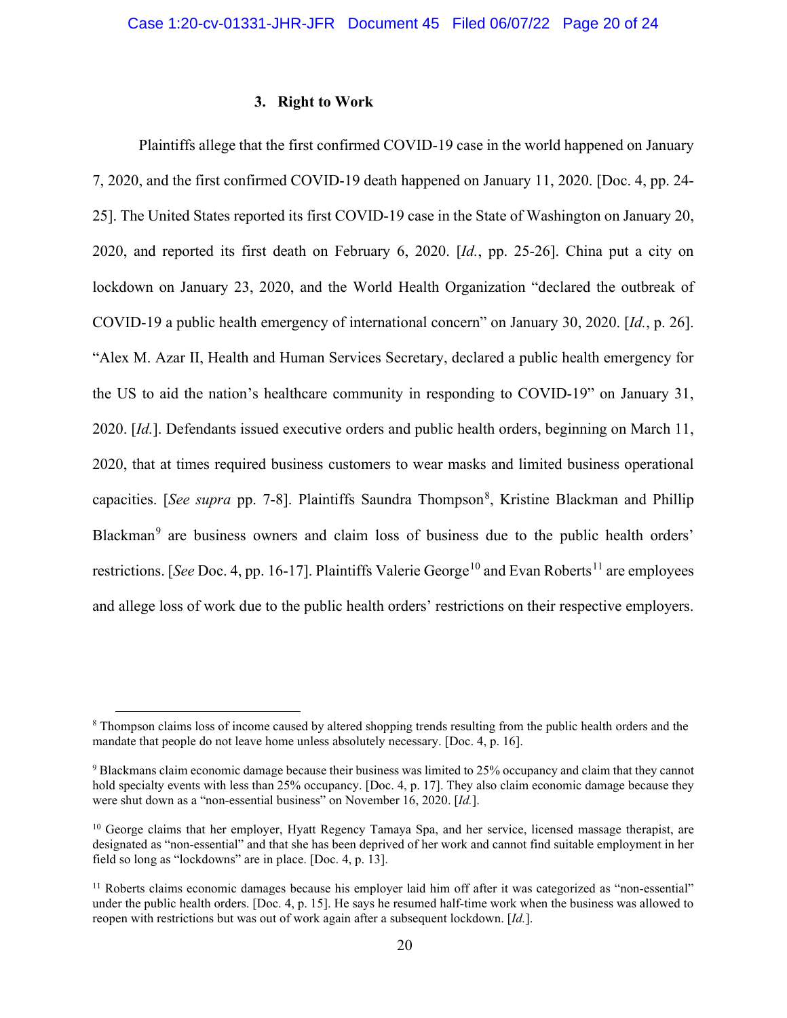#### **3. Right to Work**

Plaintiffs allege that the first confirmed COVID-19 case in the world happened on January 7, 2020, and the first confirmed COVID-19 death happened on January 11, 2020. [Doc. 4, pp. 24- 25]. The United States reported its first COVID-19 case in the State of Washington on January 20, 2020, and reported its first death on February 6, 2020. [*Id.*, pp. 25-26]. China put a city on lockdown on January 23, 2020, and the World Health Organization "declared the outbreak of COVID-19 a public health emergency of international concern" on January 30, 2020. [*Id.*, p. 26]. "Alex M. Azar II, Health and Human Services Secretary, declared a public health emergency for the US to aid the nation's healthcare community in responding to COVID-19" on January 31, 2020. [*Id.*]. Defendants issued executive orders and public health orders, beginning on March 11, 2020, that at times required business customers to wear masks and limited business operational capacities. [See supra pp. 7-[8](#page-19-0)]. Plaintiffs Saundra Thompson<sup>8</sup>, Kristine Blackman and Phillip Blackman<sup>[9](#page-19-1)</sup> are business owners and claim loss of business due to the public health orders' restrictions. [*See* Doc. 4, pp. 16-17]. Plaintiffs Valerie George<sup>[10](#page-19-2)</sup> and Evan Roberts<sup>[11](#page-19-3)</sup> are employees and allege loss of work due to the public health orders' restrictions on their respective employers.

<span id="page-19-0"></span><sup>8</sup> Thompson claims loss of income caused by altered shopping trends resulting from the public health orders and the mandate that people do not leave home unless absolutely necessary. [Doc. 4, p. 16].

<span id="page-19-1"></span><sup>9</sup> Blackmans claim economic damage because their business was limited to 25% occupancy and claim that they cannot hold specialty events with less than 25% occupancy. [Doc. 4, p. 17]. They also claim economic damage because they were shut down as a "non-essential business" on November 16, 2020. [*Id.*].

<span id="page-19-2"></span><sup>&</sup>lt;sup>10</sup> George claims that her employer, Hyatt Regency Tamaya Spa, and her service, licensed massage therapist, are designated as "non-essential" and that she has been deprived of her work and cannot find suitable employment in her field so long as "lockdowns" are in place. [Doc. 4, p. 13].

<span id="page-19-3"></span> $11$  Roberts claims economic damages because his employer laid him off after it was categorized as "non-essential" under the public health orders. [Doc. 4, p. 15]. He says he resumed half-time work when the business was allowed to reopen with restrictions but was out of work again after a subsequent lockdown. [*Id.*].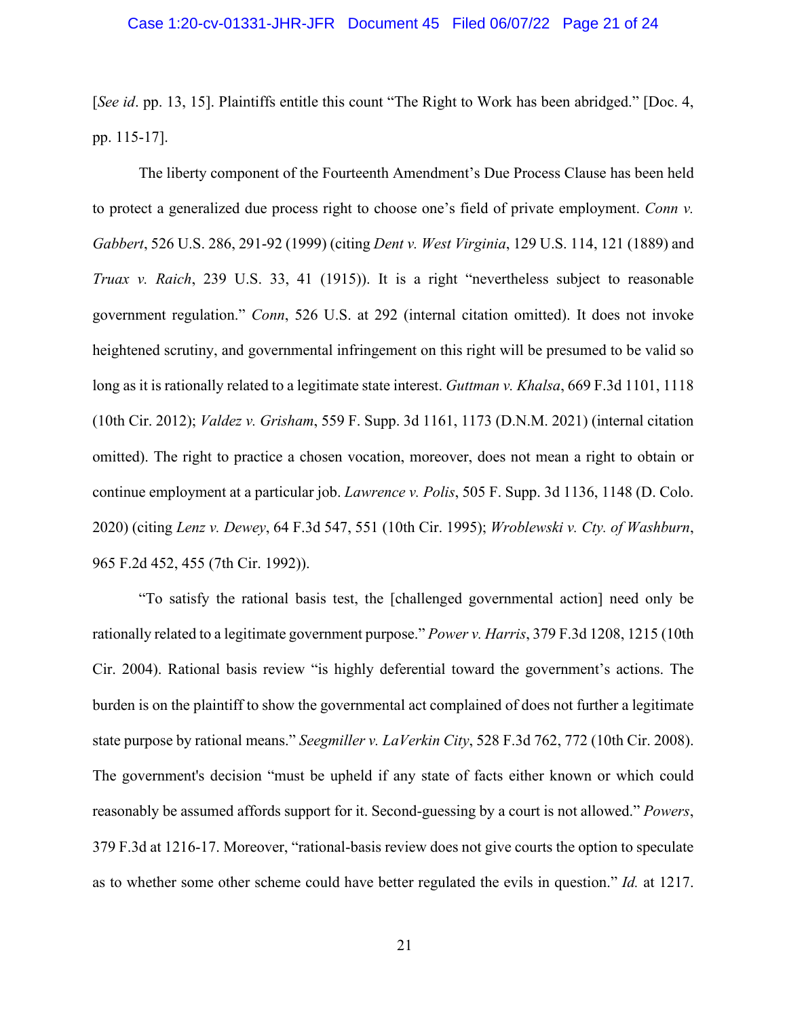### Case 1:20-cv-01331-JHR-JFR Document 45 Filed 06/07/22 Page 21 of 24

[*See id*. pp. 13, 15]. Plaintiffs entitle this count "The Right to Work has been abridged." [Doc. 4, pp. 115-17].

The liberty component of the Fourteenth Amendment's Due Process Clause has been held to protect a generalized due process right to choose one's field of private employment. *Conn v. Gabbert*, 526 U.S. 286, 291-92 (1999) (citing *Dent v. West Virginia*, 129 U.S. 114, 121 (1889) and *Truax v. Raich*, 239 U.S. 33, 41 (1915)). It is a right "nevertheless subject to reasonable government regulation." *Conn*, 526 U.S. at 292 (internal citation omitted). It does not invoke heightened scrutiny, and governmental infringement on this right will be presumed to be valid so long as it is rationally related to a legitimate state interest. *Guttman v. Khalsa*, 669 F.3d 1101, 1118 (10th Cir. 2012); *Valdez v. Grisham*, 559 F. Supp. 3d 1161, 1173 (D.N.M. 2021) (internal citation omitted). The right to practice a chosen vocation, moreover, does not mean a right to obtain or continue employment at a particular job. *Lawrence v. Polis*, 505 F. Supp. 3d 1136, 1148 (D. Colo. 2020) (citing *Lenz v. Dewey*, 64 F.3d 547, 551 (10th Cir. 1995); *Wroblewski v. Cty. of Washburn*, 965 F.2d 452, 455 (7th Cir. 1992)).

"To satisfy the rational basis test, the [challenged governmental action] need only be rationally related to a legitimate government purpose." *Power v. Harris*, 379 F.3d 1208, 1215 (10th Cir. 2004). Rational basis review "is highly deferential toward the government's actions. The burden is on the plaintiff to show the governmental act complained of does not further a legitimate state purpose by rational means." *Seegmiller v. LaVerkin City*, 528 F.3d 762, 772 (10th Cir. 2008). The government's decision "must be upheld if any state of facts either known or which could reasonably be assumed affords support for it. Second-guessing by a court is not allowed." *Powers*, 379 F.3d at 1216-17. Moreover, "rational-basis review does not give courts the option to speculate as to whether some other scheme could have better regulated the evils in question." *Id.* at 1217.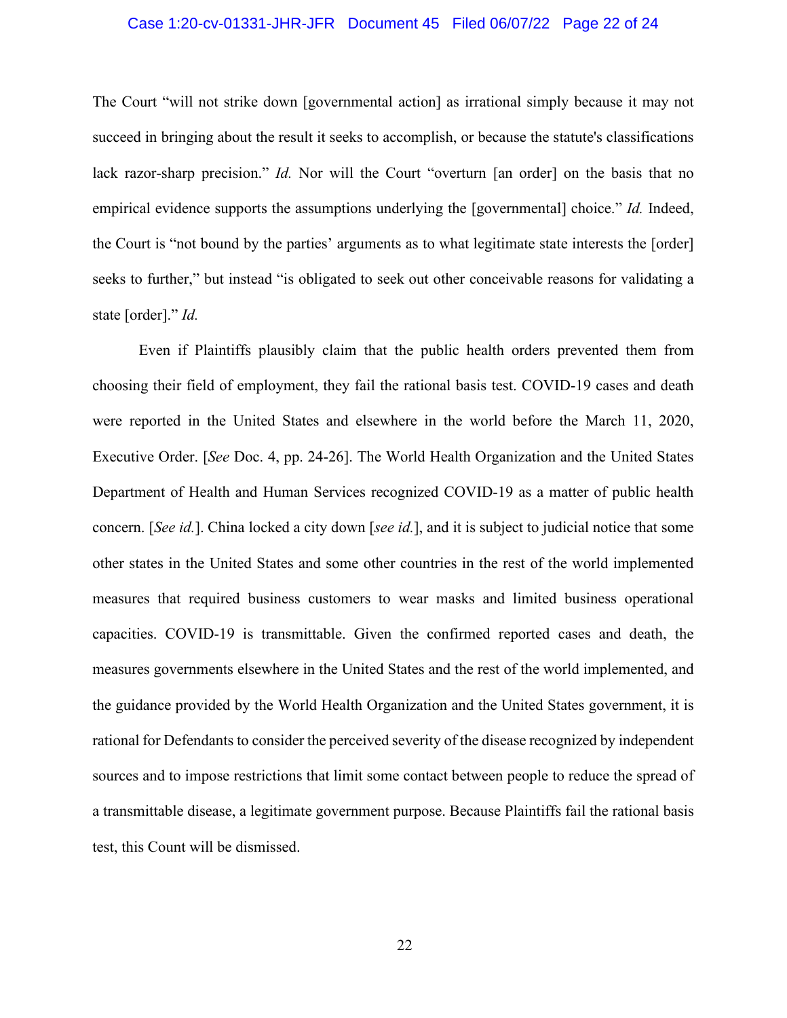# Case 1:20-cv-01331-JHR-JFR Document 45 Filed 06/07/22 Page 22 of 24

The Court "will not strike down [governmental action] as irrational simply because it may not succeed in bringing about the result it seeks to accomplish, or because the statute's classifications lack razor-sharp precision." *Id.* Nor will the Court "overturn [an order] on the basis that no empirical evidence supports the assumptions underlying the [governmental] choice." *Id.* Indeed, the Court is "not bound by the parties' arguments as to what legitimate state interests the [order] seeks to further," but instead "is obligated to seek out other conceivable reasons for validating a state [order]." *Id.*

Even if Plaintiffs plausibly claim that the public health orders prevented them from choosing their field of employment, they fail the rational basis test. COVID-19 cases and death were reported in the United States and elsewhere in the world before the March 11, 2020, Executive Order. [*See* Doc. 4, pp. 24-26]. The World Health Organization and the United States Department of Health and Human Services recognized COVID-19 as a matter of public health concern. [*See id.*]. China locked a city down [*see id.*], and it is subject to judicial notice that some other states in the United States and some other countries in the rest of the world implemented measures that required business customers to wear masks and limited business operational capacities. COVID-19 is transmittable. Given the confirmed reported cases and death, the measures governments elsewhere in the United States and the rest of the world implemented, and the guidance provided by the World Health Organization and the United States government, it is rational for Defendants to consider the perceived severity of the disease recognized by independent sources and to impose restrictions that limit some contact between people to reduce the spread of a transmittable disease, a legitimate government purpose. Because Plaintiffs fail the rational basis test, this Count will be dismissed.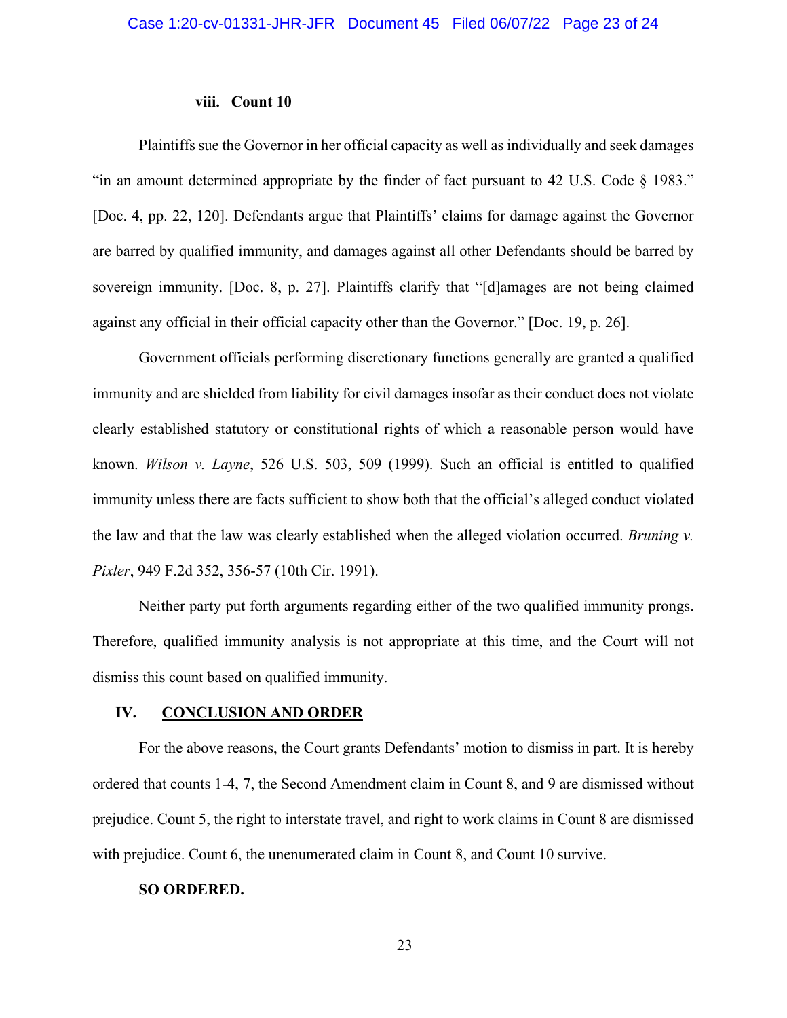#### **viii. Count 10**

Plaintiffs sue the Governor in her official capacity as well as individually and seek damages "in an amount determined appropriate by the finder of fact pursuant to 42 U.S. Code § 1983." [Doc. 4, pp. 22, 120]. Defendants argue that Plaintiffs' claims for damage against the Governor are barred by qualified immunity, and damages against all other Defendants should be barred by sovereign immunity. [Doc. 8, p. 27]. Plaintiffs clarify that "[d]amages are not being claimed against any official in their official capacity other than the Governor." [Doc. 19, p. 26].

Government officials performing discretionary functions generally are granted a qualified immunity and are shielded from liability for civil damages insofar as their conduct does not violate clearly established statutory or constitutional rights of which a reasonable person would have known. *Wilson v. Layne*, 526 U.S. 503, 509 (1999). Such an official is entitled to qualified immunity unless there are facts sufficient to show both that the official's alleged conduct violated the law and that the law was clearly established when the alleged violation occurred. *Bruning v. Pixler*, 949 F.2d 352, 356-57 (10th Cir. 1991).

Neither party put forth arguments regarding either of the two qualified immunity prongs. Therefore, qualified immunity analysis is not appropriate at this time, and the Court will not dismiss this count based on qualified immunity.

#### **IV. CONCLUSION AND ORDER**

For the above reasons, the Court grants Defendants' motion to dismiss in part. It is hereby ordered that counts 1-4, 7, the Second Amendment claim in Count 8, and 9 are dismissed without prejudice. Count 5, the right to interstate travel, and right to work claims in Count 8 are dismissed with prejudice. Count 6, the unenumerated claim in Count 8, and Count 10 survive.

#### **SO ORDERED.**